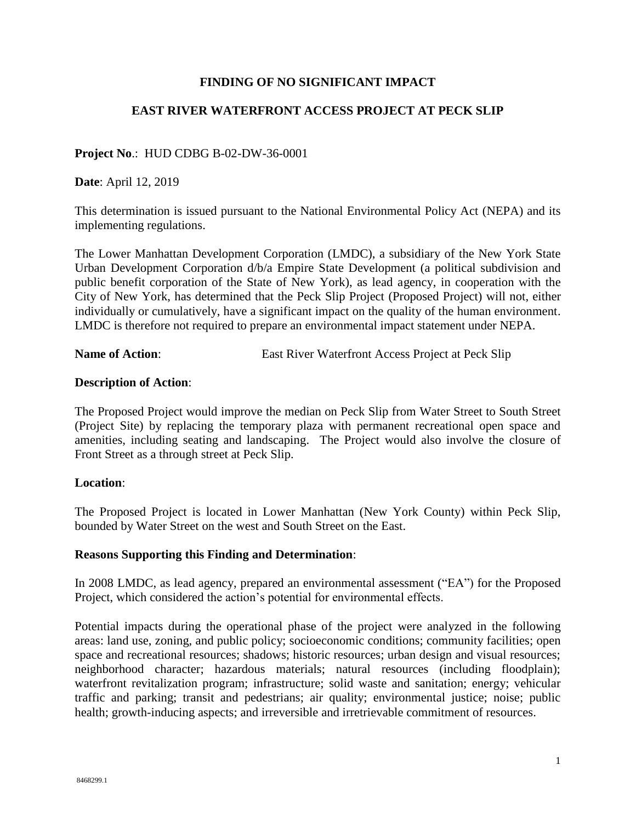# **FINDING OF NO SIGNIFICANT IMPACT**

## **EAST RIVER WATERFRONT ACCESS PROJECT AT PECK SLIP**

### **Project No**.: HUD CDBG B-02-DW-36-0001

**Date**: April 12, 2019

This determination is issued pursuant to the National Environmental Policy Act (NEPA) and its implementing regulations.

The Lower Manhattan Development Corporation (LMDC), a subsidiary of the New York State Urban Development Corporation d/b/a Empire State Development (a political subdivision and public benefit corporation of the State of New York), as lead agency, in cooperation with the City of New York, has determined that the Peck Slip Project (Proposed Project) will not, either individually or cumulatively, have a significant impact on the quality of the human environment. LMDC is therefore not required to prepare an environmental impact statement under NEPA.

**Name of Action:** East River Waterfront Access Project at Peck Slip

#### **Description of Action**:

The Proposed Project would improve the median on Peck Slip from Water Street to South Street (Project Site) by replacing the temporary plaza with permanent recreational open space and amenities, including seating and landscaping. The Project would also involve the closure of Front Street as a through street at Peck Slip.

#### **Location**:

The Proposed Project is located in Lower Manhattan (New York County) within Peck Slip, bounded by Water Street on the west and South Street on the East.

#### **Reasons Supporting this Finding and Determination**:

In 2008 LMDC, as lead agency, prepared an environmental assessment ("EA") for the Proposed Project, which considered the action's potential for environmental effects.

Potential impacts during the operational phase of the project were analyzed in the following areas: land use, zoning, and public policy; socioeconomic conditions; community facilities; open space and recreational resources; shadows; historic resources; urban design and visual resources; neighborhood character; hazardous materials; natural resources (including floodplain); waterfront revitalization program; infrastructure; solid waste and sanitation; energy; vehicular traffic and parking; transit and pedestrians; air quality; environmental justice; noise; public health; growth-inducing aspects; and irreversible and irretrievable commitment of resources.